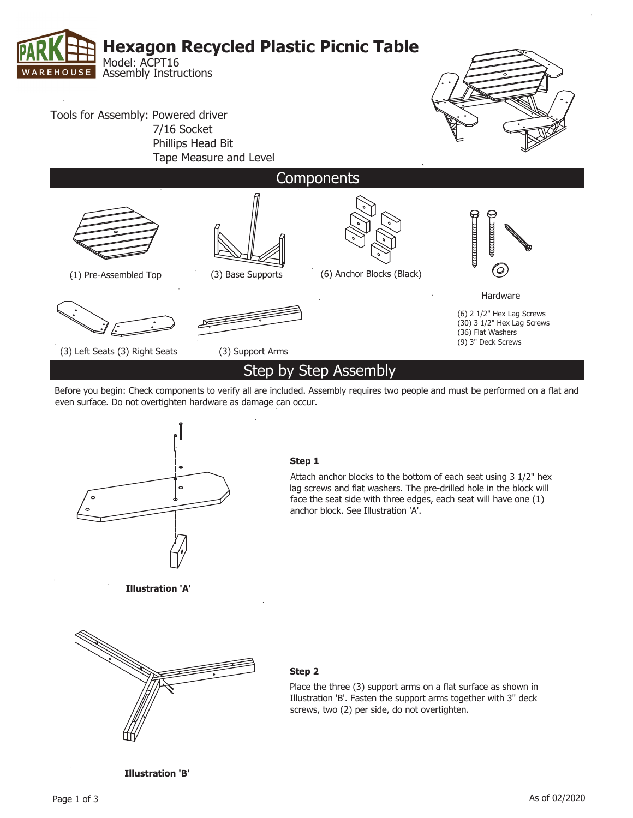

Before you begin: Check components to verify all are included. Assembly requires two people and must be performed on a flat and even surface. Do not overtighten hardware as damage can occur.



**Step1**

Attach anchor blocks to the bottom of each seat using 3 1/2" hex lag screws and flat washers. The pre-drilled hole in the block will face the seat side with three edges, each seat will have one  $(1)$ anchor block. See Illustration 'A'.

**Illustration'A'**



## **Step2**

Place the three (3) support arms on a flat surface as shown in Illustration 'B'. Fasten the support arms together with 3" deck screws, two (2) per side, do not overtighten.

**Illustration'B'**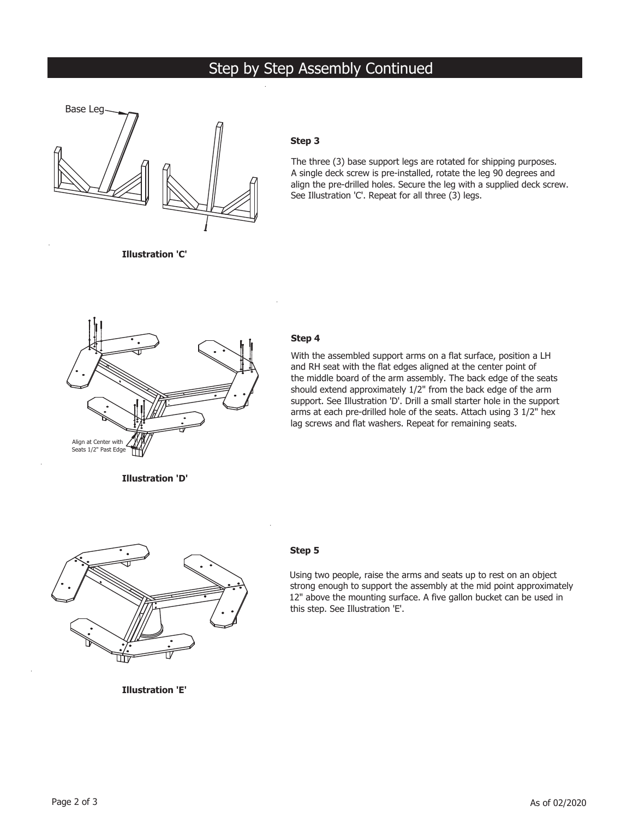# Step by Step Assembly Continued



## **Step3**

The three (3) base support legs are rotated for shipping purposes. A single deck screw is pre-installed, rotate the leg 90 degrees and align the pre-drilled holes. Secure the leg with a supplied deck screw. See Illustration 'C'. Repeat for all three (3) legs.

**Illustration'C'**



### **Step4**

With the assembled support arms on a flat surface, position a LH and RH seat with the flat edges aligned at the center point of the middle board of the arm assembly. The back edge of the seats should extend approximately 1/2" from the back edge of the arm support. See Illustration 'D'. Drill a small starter hole in the support arms at each pre-drilled hole of the seats. Attach using 3 1/2" hex lag screws and flat washers. Repeat for remaining seats.

**Illustration'D'**



### **Step5**

Using two people, raise the arms and seats up to rest on an object strong enough to support the assembly at the mid point approximately 12" above the mounting surface. A five gallon bucket can be used in this step. See Illustration 'E'.

**Illustration'E'**